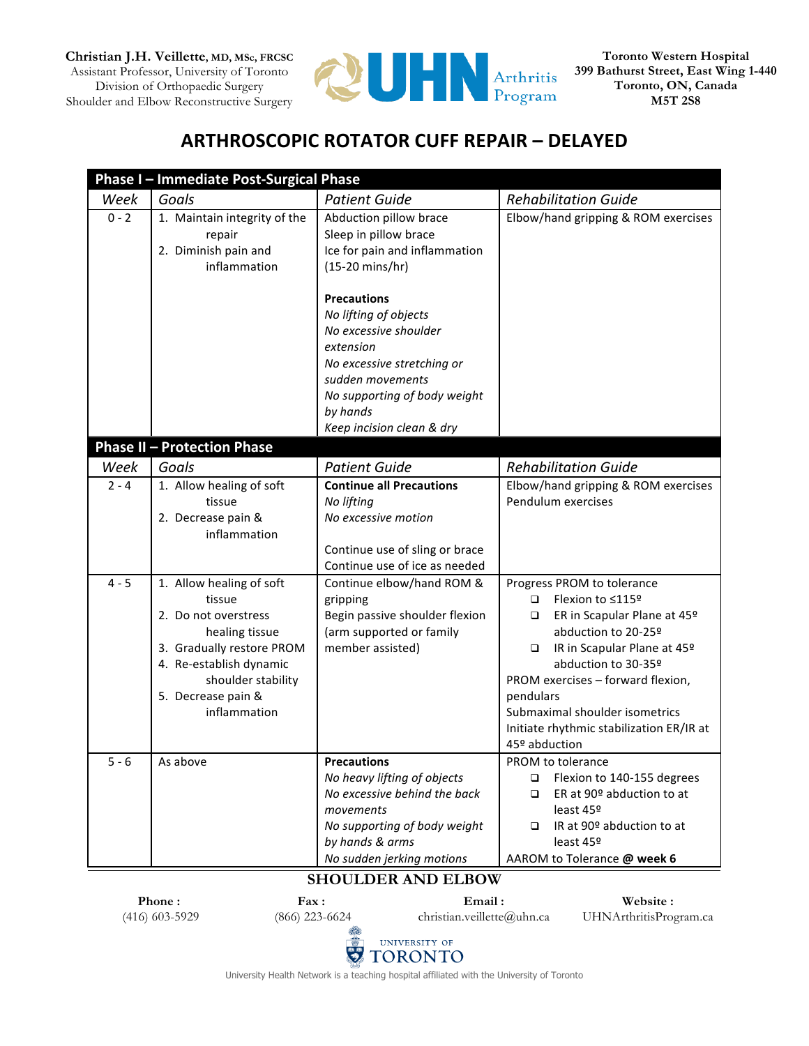**Christian J.H. Veillette, MD, MSc, FRCSC** Assistant Professor, University of Toronto Division of Orthopaedic Surgery Shoulder and Elbow Reconstructive Surgery



**Toronto Western Hospital 399 Bathurst Street, East Wing 1-440 Toronto, ON, Canada M5T 2S8**

## **ARTHROSCOPIC ROTATOR CUFF REPAIR – DELAYED**

|                    | Phase I - Immediate Post-Surgical Phase                                                                                                                                                                                                |                                                                                                                                                                                                                                                                    |                                                                                                                                                                                                                                                                                                   |
|--------------------|----------------------------------------------------------------------------------------------------------------------------------------------------------------------------------------------------------------------------------------|--------------------------------------------------------------------------------------------------------------------------------------------------------------------------------------------------------------------------------------------------------------------|---------------------------------------------------------------------------------------------------------------------------------------------------------------------------------------------------------------------------------------------------------------------------------------------------|
| Week               | Goals                                                                                                                                                                                                                                  | <b>Patient Guide</b>                                                                                                                                                                                                                                               | <b>Rehabilitation Guide</b>                                                                                                                                                                                                                                                                       |
| $0 - 2$            | 1. Maintain integrity of the<br>repair<br>2. Diminish pain and<br>inflammation                                                                                                                                                         | Abduction pillow brace<br>Sleep in pillow brace<br>Ice for pain and inflammation<br>(15-20 mins/hr)                                                                                                                                                                | Elbow/hand gripping & ROM exercises                                                                                                                                                                                                                                                               |
|                    |                                                                                                                                                                                                                                        | <b>Precautions</b><br>No lifting of objects<br>No excessive shoulder<br>extension<br>No excessive stretching or<br>sudden movements<br>No supporting of body weight<br>by hands<br>Keep incision clean & dry                                                       |                                                                                                                                                                                                                                                                                                   |
|                    | <b>Phase II - Protection Phase</b>                                                                                                                                                                                                     |                                                                                                                                                                                                                                                                    |                                                                                                                                                                                                                                                                                                   |
| Week               | Goals                                                                                                                                                                                                                                  | <b>Patient Guide</b>                                                                                                                                                                                                                                               | <b>Rehabilitation Guide</b>                                                                                                                                                                                                                                                                       |
| $2 - 4$<br>$4 - 5$ | 1. Allow healing of soft<br>tissue<br>2. Decrease pain &<br>inflammation<br>1. Allow healing of soft<br>tissue<br>2. Do not overstress<br>healing tissue<br>3. Gradually restore PROM<br>4. Re-establish dynamic<br>shoulder stability | <b>Continue all Precautions</b><br>No lifting<br>No excessive motion<br>Continue use of sling or brace<br>Continue use of ice as needed<br>Continue elbow/hand ROM &<br>gripping<br>Begin passive shoulder flexion<br>(arm supported or family<br>member assisted) | Elbow/hand gripping & ROM exercises<br>Pendulum exercises<br>Progress PROM to tolerance<br>Flexion to ≤115º<br>$\Box$<br>ER in Scapular Plane at 45 <sup>o</sup><br>❏<br>abduction to 20-25º<br>IR in Scapular Plane at 45º<br>$\Box$<br>abduction to 30-35º<br>PROM exercises - forward flexion, |
|                    | 5. Decrease pain &<br>inflammation                                                                                                                                                                                                     |                                                                                                                                                                                                                                                                    | pendulars<br>Submaximal shoulder isometrics<br>Initiate rhythmic stabilization ER/IR at<br>45º abduction                                                                                                                                                                                          |
| $5 - 6$            | As above                                                                                                                                                                                                                               | <b>Precautions</b><br>No heavy lifting of objects<br>No excessive behind the back<br>movements<br>No supporting of body weight<br>by hands & arms<br>No sudden jerking motions                                                                                     | PROM to tolerance<br>Flexion to 140-155 degrees<br>$\Box$<br>ER at 90º abduction to at<br>$\Box$<br>least 45º<br>IR at 90º abduction to at<br>□<br>least 45º<br>AAROM to Tolerance @ week 6                                                                                                       |

## **SHOULDER AND ELBOW**

| Phone:           | <b>Fax :</b>     | Email:                     | Website:               |
|------------------|------------------|----------------------------|------------------------|
| $(416)$ 603-5929 | $(866)$ 223-6624 | christian.veillette@uhn.ca | UHNArthritisProgram.ca |
|                  |                  | UNIVERSITY OF              |                        |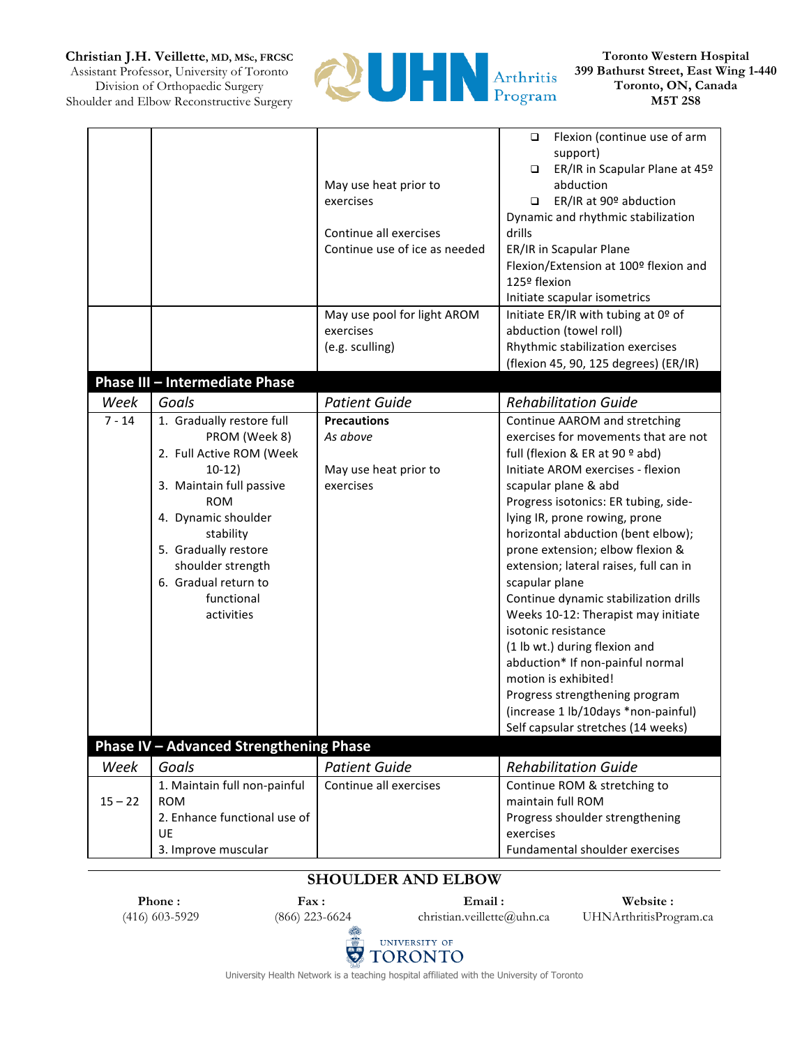**Christian J.H. Veillette, MD, MSc, FRCSC**

Assistant Professor, University of Toronto Division of Orthopaedic Surgery Shoulder and Elbow Reconstructive Surgery



**Toronto Western Hospital 399 Bathurst Street, East Wing 1-440 Toronto, ON, Canada M5T 2S8**

|           |                                         |                               | Flexion (continue use of arm<br>$\Box$   |
|-----------|-----------------------------------------|-------------------------------|------------------------------------------|
|           |                                         |                               | support)                                 |
|           |                                         |                               | ER/IR in Scapular Plane at 45º<br>$\Box$ |
|           |                                         | May use heat prior to         | abduction                                |
|           |                                         | exercises                     | ER/IR at 90º abduction<br>$\Box$         |
|           |                                         |                               | Dynamic and rhythmic stabilization       |
|           |                                         | Continue all exercises        | drills                                   |
|           |                                         | Continue use of ice as needed | ER/IR in Scapular Plane                  |
|           |                                         |                               | Flexion/Extension at 100º flexion and    |
|           |                                         |                               | 125º flexion                             |
|           |                                         |                               |                                          |
|           |                                         |                               | Initiate scapular isometrics             |
|           |                                         | May use pool for light AROM   | Initiate ER/IR with tubing at 0º of      |
|           |                                         | exercises                     | abduction (towel roll)                   |
|           |                                         | (e.g. sculling)               | Rhythmic stabilization exercises         |
|           |                                         |                               | (flexion 45, 90, 125 degrees) (ER/IR)    |
|           | Phase III - Intermediate Phase          |                               |                                          |
| Week      | Goals                                   | <b>Patient Guide</b>          | <b>Rehabilitation Guide</b>              |
| $7 - 14$  | 1. Gradually restore full               | <b>Precautions</b>            | Continue AAROM and stretching            |
|           | PROM (Week 8)                           | As above                      | exercises for movements that are not     |
|           | 2. Full Active ROM (Week                |                               | full (flexion & ER at 90 º abd)          |
|           | $10-12)$                                | May use heat prior to         | Initiate AROM exercises - flexion        |
|           | 3. Maintain full passive                | exercises                     | scapular plane & abd                     |
|           | <b>ROM</b>                              |                               | Progress isotonics: ER tubing, side-     |
|           | 4. Dynamic shoulder                     |                               | lying IR, prone rowing, prone            |
|           | stability                               |                               | horizontal abduction (bent elbow);       |
|           | 5. Gradually restore                    |                               | prone extension; elbow flexion &         |
|           | shoulder strength                       |                               | extension; lateral raises, full can in   |
|           | 6. Gradual return to                    |                               | scapular plane                           |
|           |                                         |                               |                                          |
|           | functional                              |                               | Continue dynamic stabilization drills    |
|           | activities                              |                               | Weeks 10-12: Therapist may initiate      |
|           |                                         |                               | isotonic resistance                      |
|           |                                         |                               | (1 lb wt.) during flexion and            |
|           |                                         |                               | abduction* If non-painful normal         |
|           |                                         |                               | motion is exhibited!                     |
|           |                                         |                               | Progress strengthening program           |
|           |                                         |                               | (increase 1 lb/10days *non-painful)      |
|           |                                         |                               | Self capsular stretches (14 weeks)       |
|           | Phase IV - Advanced Strengthening Phase |                               |                                          |
| Week      | Goals                                   | <b>Patient Guide</b>          | <b>Rehabilitation Guide</b>              |
|           | 1. Maintain full non-painful            | Continue all exercises        | Continue ROM & stretching to             |
| $15 - 22$ | <b>ROM</b>                              |                               | maintain full ROM                        |
|           | 2. Enhance functional use of            |                               | Progress shoulder strengthening          |
|           | UE                                      |                               | exercises                                |
|           | 3. Improve muscular                     |                               | Fundamental shoulder exercises           |
|           |                                         |                               |                                          |

## **SHOULDER AND ELBOW**

**Phone :** (416) 603-5929

**Fax :** (866) 223-6624

**Email :** christian.veillette@uhn.ca

**Website :** UHNArthritisProgram.ca



University Health Network is a teaching hospital affiliated with the University of Toronto